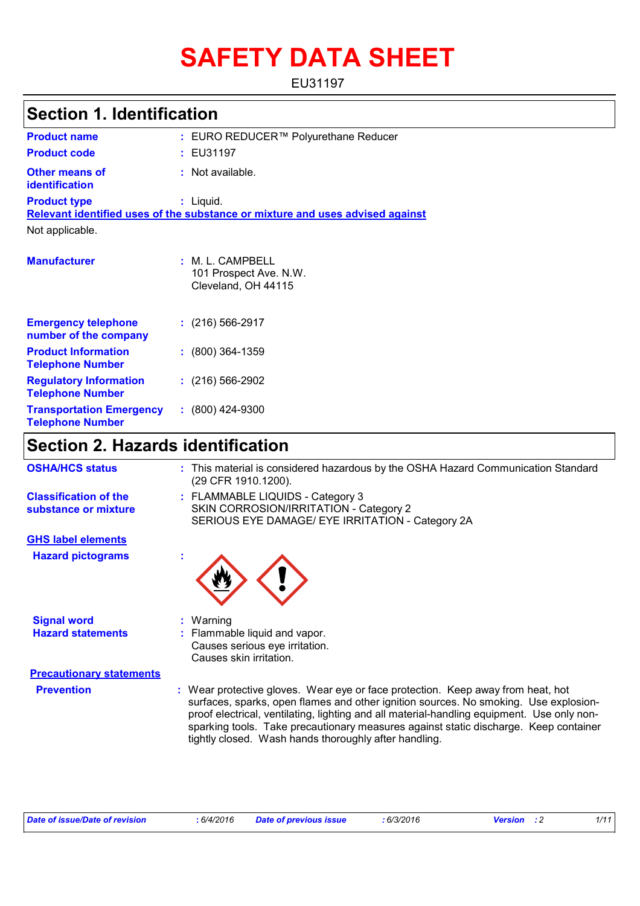# **SAFETY DATA SHEET**

EU31197

| <b>Section 1. Identification</b>                         |                                                                               |  |  |
|----------------------------------------------------------|-------------------------------------------------------------------------------|--|--|
| <b>Product name</b>                                      | : EURO REDUCER™ Polyurethane Reducer                                          |  |  |
| <b>Product code</b>                                      | : EU31197                                                                     |  |  |
| <b>Other means of</b><br><b>identification</b>           | : Not available.                                                              |  |  |
| <b>Product type</b>                                      | $:$ Liquid.                                                                   |  |  |
|                                                          | Relevant identified uses of the substance or mixture and uses advised against |  |  |
| Not applicable.                                          |                                                                               |  |  |
| <b>Manufacturer</b>                                      | : M. L. CAMPBELL<br>101 Prospect Ave. N.W.<br>Cleveland, OH 44115             |  |  |
| <b>Emergency telephone</b><br>number of the company      | $: (216) 566 - 2917$                                                          |  |  |
| <b>Product Information</b><br><b>Telephone Number</b>    | $: (800)$ 364-1359                                                            |  |  |
| <b>Regulatory Information</b><br><b>Telephone Number</b> | $: (216) 566-2902$                                                            |  |  |
| <b>Transportation Emergency</b>                          | (800) 424-9300<br>÷.                                                          |  |  |

### **Section 2. Hazards identification**

**Telephone Number**

| <b>OSHA/HCS status</b>                               | : This material is considered hazardous by the OSHA Hazard Communication Standard<br>(29 CFR 1910.1200).                                                                                                                                                                                                                                                                                                               |
|------------------------------------------------------|------------------------------------------------------------------------------------------------------------------------------------------------------------------------------------------------------------------------------------------------------------------------------------------------------------------------------------------------------------------------------------------------------------------------|
| <b>Classification of the</b><br>substance or mixture | : FLAMMABLE LIQUIDS - Category 3<br>SKIN CORROSION/IRRITATION - Category 2<br>SERIOUS EYE DAMAGE/ EYE IRRITATION - Category 2A                                                                                                                                                                                                                                                                                         |
| <b>GHS label elements</b>                            |                                                                                                                                                                                                                                                                                                                                                                                                                        |
| <b>Hazard pictograms</b>                             |                                                                                                                                                                                                                                                                                                                                                                                                                        |
| <b>Signal word</b>                                   | $:$ Warning                                                                                                                                                                                                                                                                                                                                                                                                            |
| <b>Hazard statements</b>                             | : Flammable liquid and vapor.<br>Causes serious eye irritation.<br>Causes skin irritation.                                                                                                                                                                                                                                                                                                                             |
| <b>Precautionary statements</b>                      |                                                                                                                                                                                                                                                                                                                                                                                                                        |
| <b>Prevention</b>                                    | : Wear protective gloves. Wear eye or face protection. Keep away from heat, hot<br>surfaces, sparks, open flames and other ignition sources. No smoking. Use explosion-<br>proof electrical, ventilating, lighting and all material-handling equipment. Use only non-<br>sparking tools. Take precautionary measures against static discharge. Keep container<br>tightly closed. Wash hands thoroughly after handling. |

| Date of issue/Date of revision | 6/4/2016 | <b>Date of previous issue</b> | 6/3/2016 | <b>Version</b> : 2 |  |
|--------------------------------|----------|-------------------------------|----------|--------------------|--|
|--------------------------------|----------|-------------------------------|----------|--------------------|--|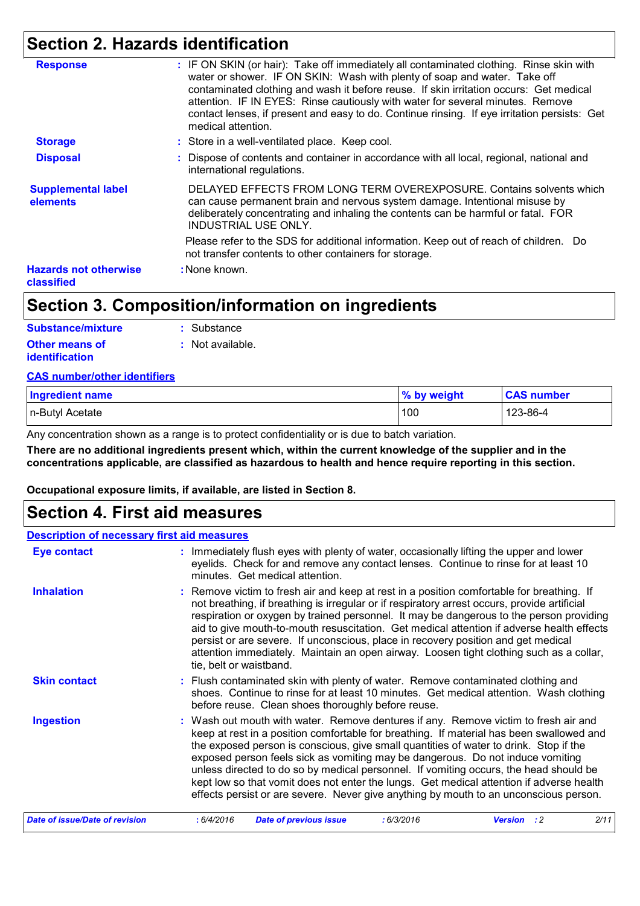### **Section 2. Hazards identification**

| <b>Response</b>                            | : IF ON SKIN (or hair): Take off immediately all contaminated clothing. Rinse skin with                                                                                                                                                                                                                                                                                     |
|--------------------------------------------|-----------------------------------------------------------------------------------------------------------------------------------------------------------------------------------------------------------------------------------------------------------------------------------------------------------------------------------------------------------------------------|
|                                            | water or shower. IF ON SKIN: Wash with plenty of soap and water. Take off<br>contaminated clothing and wash it before reuse. If skin irritation occurs: Get medical<br>attention. IF IN EYES: Rinse cautiously with water for several minutes. Remove<br>contact lenses, if present and easy to do. Continue rinsing. If eye irritation persists: Get<br>medical attention. |
| <b>Storage</b>                             | : Store in a well-ventilated place. Keep cool.                                                                                                                                                                                                                                                                                                                              |
| <b>Disposal</b>                            | : Dispose of contents and container in accordance with all local, regional, national and<br>international regulations.                                                                                                                                                                                                                                                      |
| <b>Supplemental label</b><br>elements      | DELAYED EFFECTS FROM LONG TERM OVEREXPOSURE. Contains solvents which<br>can cause permanent brain and nervous system damage. Intentional misuse by<br>deliberately concentrating and inhaling the contents can be harmful or fatal. FOR<br><b>INDUSTRIAL USE ONLY.</b>                                                                                                      |
|                                            | Please refer to the SDS for additional information. Keep out of reach of children. Do<br>not transfer contents to other containers for storage.                                                                                                                                                                                                                             |
| <b>Hazards not otherwise</b><br>classified | : None known.                                                                                                                                                                                                                                                                                                                                                               |

### **Section 3. Composition/information on ingredients**

| Substance/mixture     | : Substance      |
|-----------------------|------------------|
| <b>Other means of</b> | : Not available. |
| <i>identification</i> |                  |

#### **CAS number/other identifiers**

| <b>Ingredient name</b> | % by weight | <b>CAS number</b> |
|------------------------|-------------|-------------------|
| n-Butyl Acetate        | 100         | 123-86-4          |

Any concentration shown as a range is to protect confidentiality or is due to batch variation.

**There are no additional ingredients present which, within the current knowledge of the supplier and in the concentrations applicable, are classified as hazardous to health and hence require reporting in this section.**

**Occupational exposure limits, if available, are listed in Section 8.**

### **Section 4. First aid measures**

#### **Eye contact Description of necessary first aid measures**

| Eye contact                    | : Immediately flush eyes with plenty of water, occasionally lifting the upper and lower<br>eyelids. Check for and remove any contact lenses. Continue to rinse for at least 10<br>minutes. Get medical attention.                                                                                                                                                                                                                                                                                                                                                                                                                        |  |  |
|--------------------------------|------------------------------------------------------------------------------------------------------------------------------------------------------------------------------------------------------------------------------------------------------------------------------------------------------------------------------------------------------------------------------------------------------------------------------------------------------------------------------------------------------------------------------------------------------------------------------------------------------------------------------------------|--|--|
| <b>Inhalation</b>              | : Remove victim to fresh air and keep at rest in a position comfortable for breathing. If<br>not breathing, if breathing is irregular or if respiratory arrest occurs, provide artificial<br>respiration or oxygen by trained personnel. It may be dangerous to the person providing<br>aid to give mouth-to-mouth resuscitation. Get medical attention if adverse health effects<br>persist or are severe. If unconscious, place in recovery position and get medical<br>attention immediately. Maintain an open airway. Loosen tight clothing such as a collar,<br>tie, belt or waistband.                                             |  |  |
| <b>Skin contact</b>            | : Flush contaminated skin with plenty of water. Remove contaminated clothing and<br>shoes. Continue to rinse for at least 10 minutes. Get medical attention. Wash clothing<br>before reuse. Clean shoes thoroughly before reuse.                                                                                                                                                                                                                                                                                                                                                                                                         |  |  |
| <b>Ingestion</b>               | : Wash out mouth with water. Remove dentures if any. Remove victim to fresh air and<br>keep at rest in a position comfortable for breathing. If material has been swallowed and<br>the exposed person is conscious, give small quantities of water to drink. Stop if the<br>exposed person feels sick as vomiting may be dangerous. Do not induce vomiting<br>unless directed to do so by medical personnel. If vomiting occurs, the head should be<br>kept low so that vomit does not enter the lungs. Get medical attention if adverse health<br>effects persist or are severe. Never give anything by mouth to an unconscious person. |  |  |
| Date of issue/Date of revision | 2/11<br>: 6/4/2016<br>:6/3/2016<br><b>Date of previous issue</b><br><b>Version</b> : 2                                                                                                                                                                                                                                                                                                                                                                                                                                                                                                                                                   |  |  |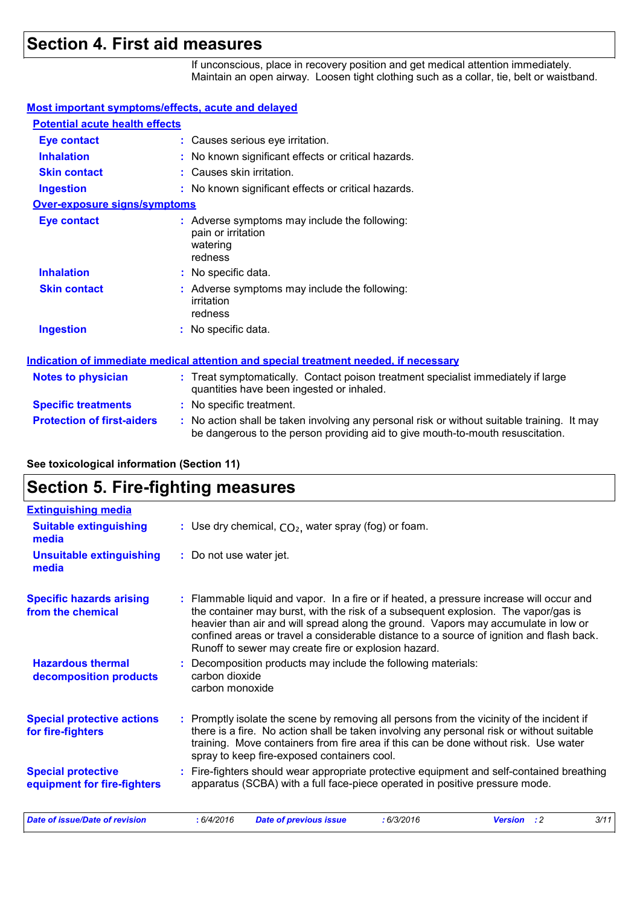### **Section 4. First aid measures**

If unconscious, place in recovery position and get medical attention immediately. Maintain an open airway. Loosen tight clothing such as a collar, tie, belt or waistband.

#### **Most important symptoms/effects, acute and delayed**

| <b>Potential acute health effects</b> |                                                                                                                                |
|---------------------------------------|--------------------------------------------------------------------------------------------------------------------------------|
| Eye contact                           | : Causes serious eye irritation.                                                                                               |
| <b>Inhalation</b>                     | : No known significant effects or critical hazards.                                                                            |
| <b>Skin contact</b>                   | : Causes skin irritation.                                                                                                      |
| <b>Ingestion</b>                      | : No known significant effects or critical hazards.                                                                            |
| <b>Over-exposure signs/symptoms</b>   |                                                                                                                                |
| <b>Eye contact</b>                    | : Adverse symptoms may include the following:<br>pain or irritation<br>watering<br>redness                                     |
| <b>Inhalation</b>                     | : No specific data.                                                                                                            |
| <b>Skin contact</b>                   | : Adverse symptoms may include the following:<br>irritation<br>redness                                                         |
| <b>Ingestion</b>                      | : No specific data.                                                                                                            |
|                                       | <u>Indication of immediate medical attention and special treatment needed, if necessary</u>                                    |
| <b>Notes to physician</b>             | : Treat symptomatically. Contact poison treatment specialist immediately if large<br>quantities have been ingested or inhaled. |
| <b>Specific treatments</b>            | : No specific treatment.                                                                                                       |

#### **Protection of first-aiders** : No action shall be taken involving any personal risk or without suitable training. It may be dangerous to the person providing aid to give mouth-to-mouth resuscitation.

#### **See toxicological information (Section 11)**

### **Section 5. Fire-fighting measures**

| <b>Extinguishing media</b>                               |                                                                                                                                                                                                                                                                                                                                                                                                                        |  |  |
|----------------------------------------------------------|------------------------------------------------------------------------------------------------------------------------------------------------------------------------------------------------------------------------------------------------------------------------------------------------------------------------------------------------------------------------------------------------------------------------|--|--|
| <b>Suitable extinguishing</b><br>media                   | : Use dry chemical, $CO2$ , water spray (fog) or foam.                                                                                                                                                                                                                                                                                                                                                                 |  |  |
| <b>Unsuitable extinguishing</b><br>media                 | : Do not use water jet.                                                                                                                                                                                                                                                                                                                                                                                                |  |  |
| <b>Specific hazards arising</b><br>from the chemical     | Flammable liquid and vapor. In a fire or if heated, a pressure increase will occur and<br>the container may burst, with the risk of a subsequent explosion. The vapor/gas is<br>heavier than air and will spread along the ground. Vapors may accumulate in low or<br>confined areas or travel a considerable distance to a source of ignition and flash back.<br>Runoff to sewer may create fire or explosion hazard. |  |  |
| <b>Hazardous thermal</b><br>decomposition products       | Decomposition products may include the following materials:<br>carbon dioxide<br>carbon monoxide                                                                                                                                                                                                                                                                                                                       |  |  |
| <b>Special protective actions</b><br>for fire-fighters   | : Promptly isolate the scene by removing all persons from the vicinity of the incident if<br>there is a fire. No action shall be taken involving any personal risk or without suitable<br>training. Move containers from fire area if this can be done without risk. Use water<br>spray to keep fire-exposed containers cool.                                                                                          |  |  |
| <b>Special protective</b><br>equipment for fire-fighters | Fire-fighters should wear appropriate protective equipment and self-contained breathing<br>apparatus (SCBA) with a full face-piece operated in positive pressure mode.                                                                                                                                                                                                                                                 |  |  |
| <b>Date of issue/Date of revision</b>                    | 3/11<br>: 6/4/2016<br><b>Date of previous issue</b><br>:6/3/2016<br><b>Version</b> : 2                                                                                                                                                                                                                                                                                                                                 |  |  |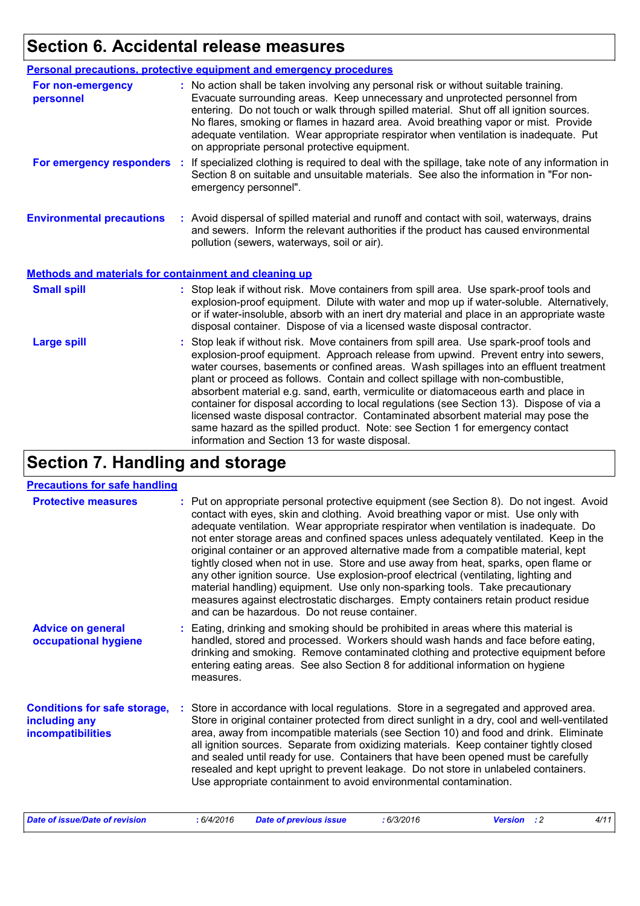# **Section 6. Accidental release measures**

|                                                       | Personal precautions, protective equipment and emergency procedures                                                                                                                                                                                                                                                                                                                                                                                                                                                                                                                                                                                                                                                                                                  |
|-------------------------------------------------------|----------------------------------------------------------------------------------------------------------------------------------------------------------------------------------------------------------------------------------------------------------------------------------------------------------------------------------------------------------------------------------------------------------------------------------------------------------------------------------------------------------------------------------------------------------------------------------------------------------------------------------------------------------------------------------------------------------------------------------------------------------------------|
| For non-emergency<br>personnel                        | : No action shall be taken involving any personal risk or without suitable training.<br>Evacuate surrounding areas. Keep unnecessary and unprotected personnel from<br>entering. Do not touch or walk through spilled material. Shut off all ignition sources.<br>No flares, smoking or flames in hazard area. Avoid breathing vapor or mist. Provide<br>adequate ventilation. Wear appropriate respirator when ventilation is inadequate. Put<br>on appropriate personal protective equipment.                                                                                                                                                                                                                                                                      |
| For emergency responders :                            | If specialized clothing is required to deal with the spillage, take note of any information in<br>Section 8 on suitable and unsuitable materials. See also the information in "For non-<br>emergency personnel".                                                                                                                                                                                                                                                                                                                                                                                                                                                                                                                                                     |
| <b>Environmental precautions</b>                      | : Avoid dispersal of spilled material and runoff and contact with soil, waterways, drains<br>and sewers. Inform the relevant authorities if the product has caused environmental<br>pollution (sewers, waterways, soil or air).                                                                                                                                                                                                                                                                                                                                                                                                                                                                                                                                      |
| Methods and materials for containment and cleaning up |                                                                                                                                                                                                                                                                                                                                                                                                                                                                                                                                                                                                                                                                                                                                                                      |
| <b>Small spill</b>                                    | : Stop leak if without risk. Move containers from spill area. Use spark-proof tools and<br>explosion-proof equipment. Dilute with water and mop up if water-soluble. Alternatively,<br>or if water-insoluble, absorb with an inert dry material and place in an appropriate waste<br>disposal container. Dispose of via a licensed waste disposal contractor.                                                                                                                                                                                                                                                                                                                                                                                                        |
| <b>Large spill</b>                                    | : Stop leak if without risk. Move containers from spill area. Use spark-proof tools and<br>explosion-proof equipment. Approach release from upwind. Prevent entry into sewers,<br>water courses, basements or confined areas. Wash spillages into an effluent treatment<br>plant or proceed as follows. Contain and collect spillage with non-combustible,<br>absorbent material e.g. sand, earth, vermiculite or diatomaceous earth and place in<br>container for disposal according to local regulations (see Section 13). Dispose of via a<br>licensed waste disposal contractor. Contaminated absorbent material may pose the<br>same hazard as the spilled product. Note: see Section 1 for emergency contact<br>information and Section 13 for waste disposal. |

# **Section 7. Handling and storage**

#### **Precautions for safe handling**

| <b>Protective measures</b>                                                       | : Put on appropriate personal protective equipment (see Section 8). Do not ingest. Avoid<br>contact with eyes, skin and clothing. Avoid breathing vapor or mist. Use only with<br>adequate ventilation. Wear appropriate respirator when ventilation is inadequate. Do<br>not enter storage areas and confined spaces unless adequately ventilated. Keep in the<br>original container or an approved alternative made from a compatible material, kept<br>tightly closed when not in use. Store and use away from heat, sparks, open flame or<br>any other ignition source. Use explosion-proof electrical (ventilating, lighting and<br>material handling) equipment. Use only non-sparking tools. Take precautionary<br>measures against electrostatic discharges. Empty containers retain product residue<br>and can be hazardous. Do not reuse container. |  |  |
|----------------------------------------------------------------------------------|---------------------------------------------------------------------------------------------------------------------------------------------------------------------------------------------------------------------------------------------------------------------------------------------------------------------------------------------------------------------------------------------------------------------------------------------------------------------------------------------------------------------------------------------------------------------------------------------------------------------------------------------------------------------------------------------------------------------------------------------------------------------------------------------------------------------------------------------------------------|--|--|
| <b>Advice on general</b><br>occupational hygiene                                 | : Eating, drinking and smoking should be prohibited in areas where this material is<br>handled, stored and processed. Workers should wash hands and face before eating,<br>drinking and smoking. Remove contaminated clothing and protective equipment before<br>entering eating areas. See also Section 8 for additional information on hygiene<br>measures.                                                                                                                                                                                                                                                                                                                                                                                                                                                                                                 |  |  |
| <b>Conditions for safe storage,</b><br>including any<br><b>incompatibilities</b> | Store in accordance with local regulations. Store in a segregated and approved area.<br>Store in original container protected from direct sunlight in a dry, cool and well-ventilated<br>area, away from incompatible materials (see Section 10) and food and drink. Eliminate<br>all ignition sources. Separate from oxidizing materials. Keep container tightly closed<br>and sealed until ready for use. Containers that have been opened must be carefully<br>resealed and kept upright to prevent leakage. Do not store in unlabeled containers.<br>Use appropriate containment to avoid environmental contamination.                                                                                                                                                                                                                                    |  |  |
| <b>Date of issue/Date of revision</b>                                            | : 6/3/2016<br>4/11<br>: 6/4/2016<br><b>Date of previous issue</b><br><b>Version</b> : 2                                                                                                                                                                                                                                                                                                                                                                                                                                                                                                                                                                                                                                                                                                                                                                       |  |  |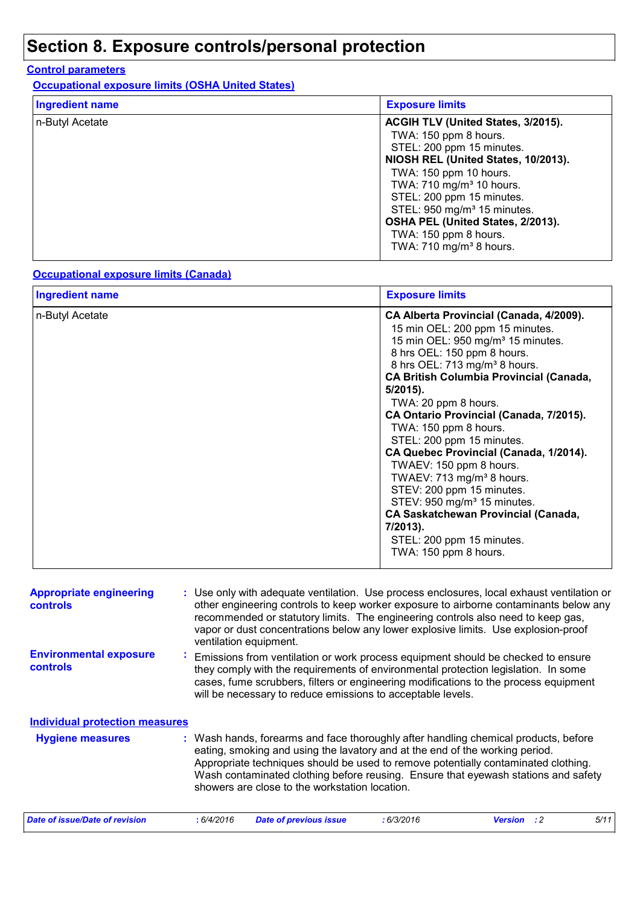### **Section 8. Exposure controls/personal protection**

#### **Control parameters**

**Occupational exposure limits (OSHA United States)**

| <b>Ingredient name</b> | <b>Exposure limits</b>                                                                                                                                                                                                                                                                                                                                                         |
|------------------------|--------------------------------------------------------------------------------------------------------------------------------------------------------------------------------------------------------------------------------------------------------------------------------------------------------------------------------------------------------------------------------|
| n-Butyl Acetate        | ACGIH TLV (United States, 3/2015).<br>TWA: 150 ppm 8 hours.<br>STEL: 200 ppm 15 minutes.<br>NIOSH REL (United States, 10/2013).<br>TWA: 150 ppm 10 hours.<br>TWA: 710 mg/m <sup>3</sup> 10 hours.<br>STEL: 200 ppm 15 minutes.<br>STEL: 950 mg/m <sup>3</sup> 15 minutes.<br>OSHA PEL (United States, 2/2013).<br>TWA: 150 ppm 8 hours.<br>TWA: 710 mg/m <sup>3</sup> 8 hours. |

#### **Occupational exposure limits (Canada)**

| CA Alberta Provincial (Canada, 4/2009).<br>15 min OEL: 200 ppm 15 minutes.<br>15 min OEL: 950 mg/m <sup>3</sup> 15 minutes.<br>8 hrs OEL: 150 ppm 8 hours.<br>8 hrs OEL: 713 mg/m <sup>3</sup> 8 hours.<br><b>CA British Columbia Provincial (Canada,</b><br>$5/2015$ ).<br>TWA: 20 ppm 8 hours.<br>CA Ontario Provincial (Canada, 7/2015).<br>TWA: 150 ppm 8 hours.<br>STEL: 200 ppm 15 minutes.<br>CA Quebec Provincial (Canada, 1/2014).<br>TWAEV: 150 ppm 8 hours.<br>TWAEV: 713 mg/m <sup>3</sup> 8 hours.<br>STEV: 200 ppm 15 minutes.<br>STEV: 950 mg/m <sup>3</sup> 15 minutes.<br><b>CA Saskatchewan Provincial (Canada,</b><br>7/2013).<br>STEL: 200 ppm 15 minutes.<br>TWA: 150 ppm 8 hours. |
|---------------------------------------------------------------------------------------------------------------------------------------------------------------------------------------------------------------------------------------------------------------------------------------------------------------------------------------------------------------------------------------------------------------------------------------------------------------------------------------------------------------------------------------------------------------------------------------------------------------------------------------------------------------------------------------------------------|
|                                                                                                                                                                                                                                                                                                                                                                                                                                                                                                                                                                                                                                                                                                         |

| <b>Appropriate engineering</b><br><b>controls</b> |                |            | : Use only with adequate ventilation. Use process enclosures, local exhaust ventilation or<br>other engineering controls to keep worker exposure to airborne contaminants below any<br>recommended or statutory limits. The engineering controls also need to keep gas,<br>vapor or dust concentrations below any lower explosive limits. Use explosion-proof<br>ventilation equipment.           |           |                |    |      |
|---------------------------------------------------|----------------|------------|---------------------------------------------------------------------------------------------------------------------------------------------------------------------------------------------------------------------------------------------------------------------------------------------------------------------------------------------------------------------------------------------------|-----------|----------------|----|------|
| <b>Environmental exposure</b><br>controls         | $\mathbf{r}$ . |            | Emissions from ventilation or work process equipment should be checked to ensure<br>they comply with the requirements of environmental protection legislation. In some<br>cases, fume scrubbers, filters or engineering modifications to the process equipment<br>will be necessary to reduce emissions to acceptable levels.                                                                     |           |                |    |      |
| <b>Individual protection measures</b>             |                |            |                                                                                                                                                                                                                                                                                                                                                                                                   |           |                |    |      |
| <b>Hygiene measures</b>                           |                |            | : Wash hands, forearms and face thoroughly after handling chemical products, before<br>eating, smoking and using the lavatory and at the end of the working period.<br>Appropriate techniques should be used to remove potentially contaminated clothing.<br>Wash contaminated clothing before reusing. Ensure that eyewash stations and safety<br>showers are close to the workstation location. |           |                |    |      |
| <b>Date of issue/Date of revision</b>             |                | : 6/4/2016 | <b>Date of previous issue</b>                                                                                                                                                                                                                                                                                                                                                                     | :6/3/2016 | <b>Version</b> | :2 | 5/11 |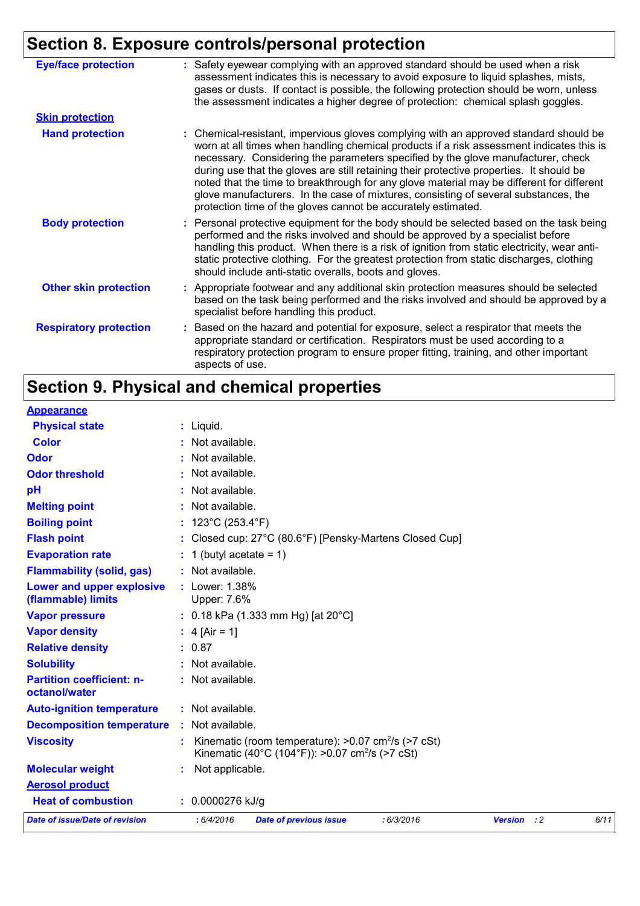# **Section 8. Exposure controls/personal protection**

| <b>Eye/face protection</b>    | : Safety eyewear complying with an approved standard should be used when a risk<br>assessment indicates this is necessary to avoid exposure to liquid splashes, mists,<br>gases or dusts. If contact is possible, the following protection should be worn, unless<br>the assessment indicates a higher degree of protection: chemical splash goggles.                                                                                                                                                                                                                                                                  |
|-------------------------------|------------------------------------------------------------------------------------------------------------------------------------------------------------------------------------------------------------------------------------------------------------------------------------------------------------------------------------------------------------------------------------------------------------------------------------------------------------------------------------------------------------------------------------------------------------------------------------------------------------------------|
| <b>Skin protection</b>        |                                                                                                                                                                                                                                                                                                                                                                                                                                                                                                                                                                                                                        |
| <b>Hand protection</b>        | : Chemical-resistant, impervious gloves complying with an approved standard should be<br>worn at all times when handling chemical products if a risk assessment indicates this is<br>necessary. Considering the parameters specified by the glove manufacturer, check<br>during use that the gloves are still retaining their protective properties. It should be<br>noted that the time to breakthrough for any glove material may be different for different<br>glove manufacturers. In the case of mixtures, consisting of several substances, the<br>protection time of the gloves cannot be accurately estimated. |
| <b>Body protection</b>        | : Personal protective equipment for the body should be selected based on the task being<br>performed and the risks involved and should be approved by a specialist before<br>handling this product. When there is a risk of ignition from static electricity, wear anti-<br>static protective clothing. For the greatest protection from static discharges, clothing<br>should include anti-static overalls, boots and gloves.                                                                                                                                                                                         |
| <b>Other skin protection</b>  | : Appropriate footwear and any additional skin protection measures should be selected<br>based on the task being performed and the risks involved and should be approved by a<br>specialist before handling this product.                                                                                                                                                                                                                                                                                                                                                                                              |
| <b>Respiratory protection</b> | : Based on the hazard and potential for exposure, select a respirator that meets the<br>appropriate standard or certification. Respirators must be used according to a<br>respiratory protection program to ensure proper fitting, training, and other important<br>aspects of use.                                                                                                                                                                                                                                                                                                                                    |

# **Section 9. Physical and chemical properties**

| <b>Appearance</b>                                 |                                                                                                                                     |
|---------------------------------------------------|-------------------------------------------------------------------------------------------------------------------------------------|
| <b>Physical state</b>                             | $:$ Liquid.                                                                                                                         |
| <b>Color</b>                                      | : Not available.                                                                                                                    |
| <b>Odor</b>                                       | : Not available.                                                                                                                    |
| <b>Odor threshold</b>                             | : Not available.                                                                                                                    |
| рH                                                | : Not available.                                                                                                                    |
| <b>Melting point</b>                              | : Not available.                                                                                                                    |
| <b>Boiling point</b>                              | : $123^{\circ}$ C (253.4 $^{\circ}$ F)                                                                                              |
| <b>Flash point</b>                                | : Closed cup: 27°C (80.6°F) [Pensky-Martens Closed Cup]                                                                             |
| <b>Evaporation rate</b>                           | $: 1$ (butyl acetate = 1)                                                                                                           |
| <b>Flammability (solid, gas)</b>                  | : Not available.                                                                                                                    |
| Lower and upper explosive<br>(flammable) limits   | : Lower: 1.38%<br>Upper: 7.6%                                                                                                       |
| <b>Vapor pressure</b>                             | : 0.18 kPa (1.333 mm Hg) [at 20°C]                                                                                                  |
| <b>Vapor density</b>                              | : $4$ [Air = 1]                                                                                                                     |
| <b>Relative density</b>                           | : 0.87                                                                                                                              |
| <b>Solubility</b>                                 | : Not available.                                                                                                                    |
| <b>Partition coefficient: n-</b><br>octanol/water | : Not available.                                                                                                                    |
| <b>Auto-ignition temperature</b>                  | : Not available.                                                                                                                    |
| <b>Decomposition temperature</b>                  | $:$ Not available.                                                                                                                  |
| <b>Viscosity</b>                                  | Kinematic (room temperature): $>0.07$ cm <sup>2</sup> /s ( $>7$ cSt)<br>Kinematic (40°C (104°F)): >0.07 cm <sup>2</sup> /s (>7 cSt) |
| <b>Molecular weight</b>                           | Not applicable.                                                                                                                     |
| <b>Aerosol product</b>                            |                                                                                                                                     |
| <b>Heat of combustion</b>                         | $: 0.0000276$ kJ/g                                                                                                                  |
| <b>Date of issue/Date of revision</b>             | : 6/4/2016<br>: 6/3/2016<br>6/11<br><b>Date of previous issue</b><br><b>Version</b> : 2                                             |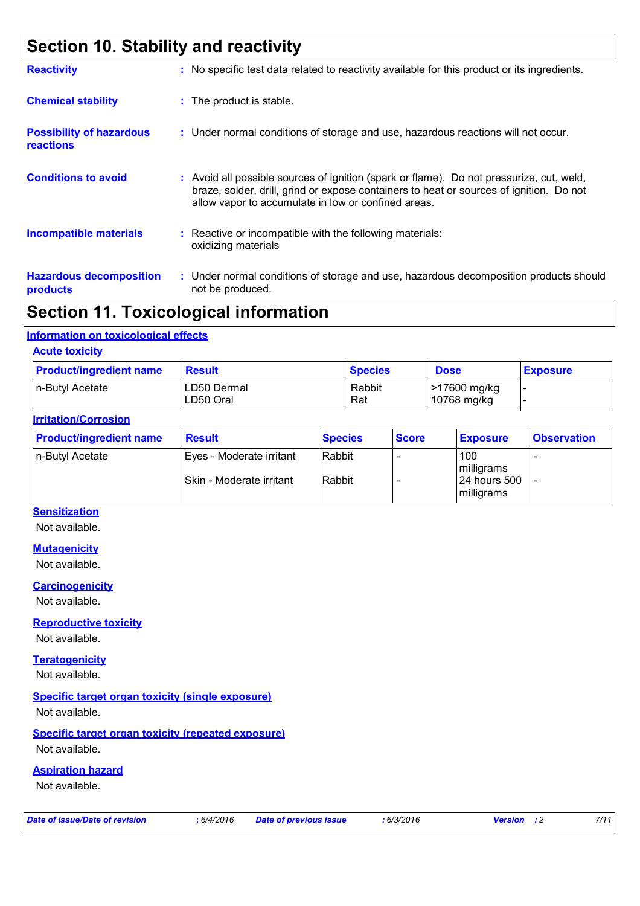### **Section 10. Stability and reactivity**

| <b>Reactivity</b>                                   | : No specific test data related to reactivity available for this product or its ingredients.                                                                                                                                               |
|-----------------------------------------------------|--------------------------------------------------------------------------------------------------------------------------------------------------------------------------------------------------------------------------------------------|
| <b>Chemical stability</b>                           | : The product is stable.                                                                                                                                                                                                                   |
| <b>Possibility of hazardous</b><br><b>reactions</b> | : Under normal conditions of storage and use, hazardous reactions will not occur.                                                                                                                                                          |
| <b>Conditions to avoid</b>                          | : Avoid all possible sources of ignition (spark or flame). Do not pressurize, cut, weld,<br>braze, solder, drill, grind or expose containers to heat or sources of ignition. Do not<br>allow vapor to accumulate in low or confined areas. |
| <b>Incompatible materials</b>                       | : Reactive or incompatible with the following materials:<br>oxidizing materials                                                                                                                                                            |
| <b>Hazardous decomposition</b><br>products          | : Under normal conditions of storage and use, hazardous decomposition products should<br>not be produced.                                                                                                                                  |

### **Section 11. Toxicological information**

#### **Information on toxicological effects**

#### **Acute toxicity**

| <b>Product/ingredient name</b> | <b>Result</b>            | <b>Species</b> | <b>Dose</b>                           | <b>Exposure</b> |
|--------------------------------|--------------------------|----------------|---------------------------------------|-----------------|
| In-Butyl Acetate               | LD50 Dermal<br>LD50 Oral | Rabbit<br>Rat  | <b>&gt;17600 mg/kg</b><br>10768 mg/kg |                 |

#### **Irritation/Corrosion**

| <b>Product/ingredient name</b> | <b>Result</b>            | <b>Species</b> | <b>Score</b> | <b>Exposure</b>             | <b>Observation</b> |
|--------------------------------|--------------------------|----------------|--------------|-----------------------------|--------------------|
| n-Butyl Acetate                | Eyes - Moderate irritant | Rabbit         |              | 100<br>milligrams           |                    |
|                                | Skin - Moderate irritant | Rabbit         |              | 124 hours 500<br>milligrams |                    |

#### **Sensitization**

Not available.

#### **Mutagenicity**

Not available.

#### **Carcinogenicity**

Not available.

#### **Reproductive toxicity**

Not available.

#### **Teratogenicity** Not available.

#### **Specific target organ toxicity (single exposure)**

Not available.

#### **Specific target organ toxicity (repeated exposure)**

Not available.

#### **Aspiration hazard**

Not available.

*Date of issue/Date of revision* **:** *6/4/2016 Date of previous issue : 6/3/2016 Version : 2 7/11*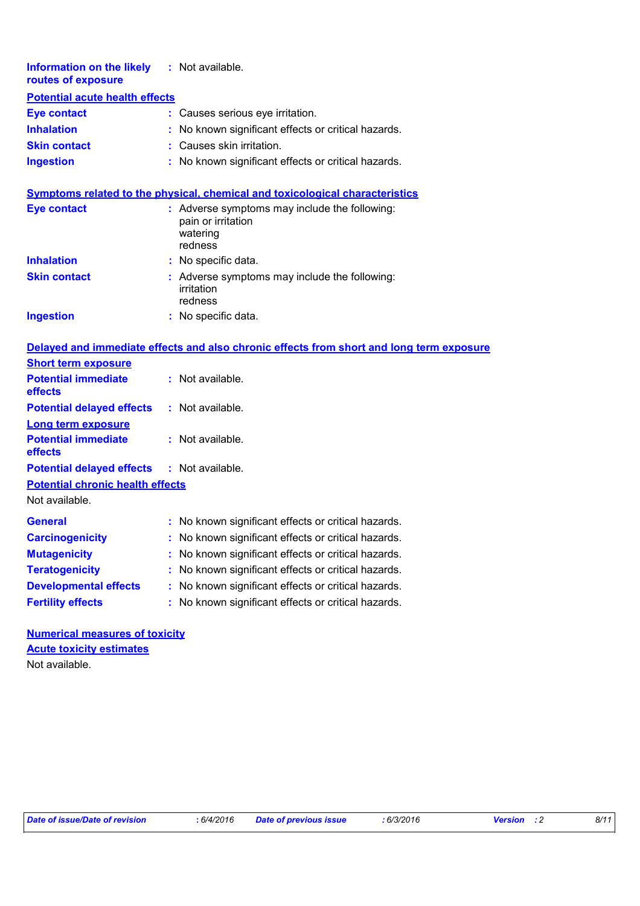| <b>Information on the likely</b><br>routes of exposure | : Not available.                                                                           |  |  |  |  |
|--------------------------------------------------------|--------------------------------------------------------------------------------------------|--|--|--|--|
| <b>Potential acute health effects</b>                  |                                                                                            |  |  |  |  |
| <b>Eye contact</b>                                     | : Causes serious eye irritation.                                                           |  |  |  |  |
| <b>Inhalation</b>                                      | No known significant effects or critical hazards.                                          |  |  |  |  |
| <b>Skin contact</b>                                    | : Causes skin irritation.                                                                  |  |  |  |  |
| <b>Ingestion</b>                                       | : No known significant effects or critical hazards.                                        |  |  |  |  |
|                                                        | <b>Symptoms related to the physical, chemical and toxicological characteristics</b>        |  |  |  |  |
| <b>Eye contact</b>                                     | : Adverse symptoms may include the following:<br>pain or irritation<br>watering<br>redness |  |  |  |  |
| <b>Inhalation</b>                                      | No specific data.                                                                          |  |  |  |  |
| <b>Skin contact</b>                                    | : Adverse symptoms may include the following:<br>irritation<br>redness                     |  |  |  |  |
| <b>Ingestion</b>                                       | : No specific data.                                                                        |  |  |  |  |
|                                                        | Delayed and immediate effects and also chronic effects from short and long term exposure   |  |  |  |  |
| <b>Short term exposure</b>                             |                                                                                            |  |  |  |  |
| <b>Potential immediate</b><br>effects                  | : Not available.                                                                           |  |  |  |  |
| <b>Potential delayed effects</b>                       | : Not available.                                                                           |  |  |  |  |
| <b>Long term exposure</b>                              |                                                                                            |  |  |  |  |
| <b>Potential immediate</b><br>effects                  | : Not available.                                                                           |  |  |  |  |
| <b>Potential delayed effects</b>                       | : Not available.                                                                           |  |  |  |  |
| <b>Potential chronic health effects</b>                |                                                                                            |  |  |  |  |
| Not available.                                         |                                                                                            |  |  |  |  |
| <b>General</b>                                         | : No known significant effects or critical hazards.                                        |  |  |  |  |
| <b>Carcinogenicity</b>                                 | No known significant effects or critical hazards.                                          |  |  |  |  |
| <b>Mutagenicity</b>                                    | No known significant effects or critical hazards.                                          |  |  |  |  |
| <b>Teratogenicity</b>                                  | No known significant effects or critical hazards.                                          |  |  |  |  |
| <b>Developmental effects</b>                           | No known significant effects or critical hazards.                                          |  |  |  |  |
| <b>Fertility effects</b>                               | No known significant effects or critical hazards.                                          |  |  |  |  |
| <b>Numerical measures of toxicity</b>                  |                                                                                            |  |  |  |  |

**Acute toxicity estimates**

Not available.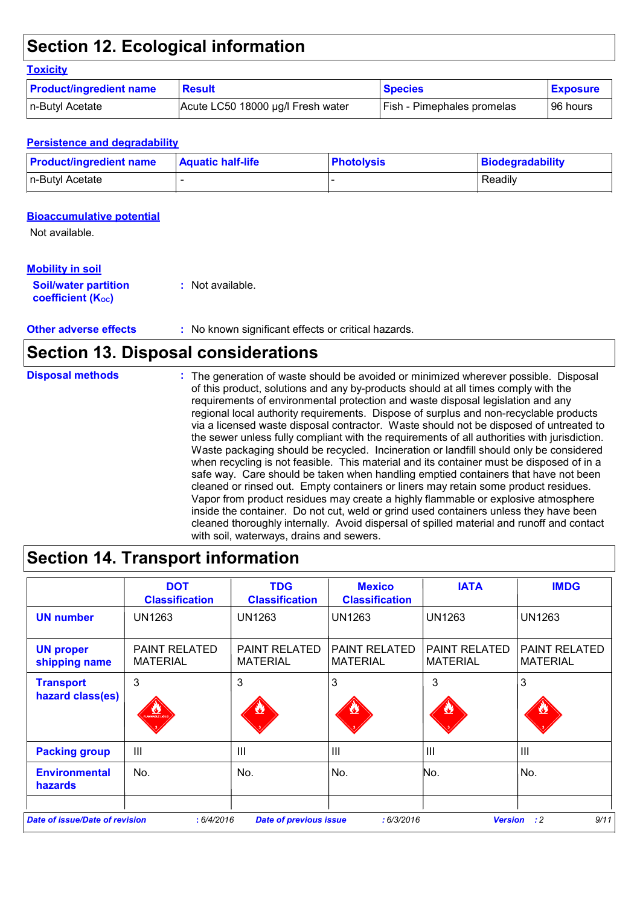### **Section 12. Ecological information**

#### **Toxicity**

| <b>Product/ingredient name</b> | <b>Result</b>                     | <b>Species</b>                    | <b>Exposure</b> |
|--------------------------------|-----------------------------------|-----------------------------------|-----------------|
| n-Butyl Acetate                | Acute LC50 18000 µg/l Fresh water | <b>Fish - Pimephales promelas</b> | 96 hours        |

#### **Persistence and degradability**

| <b>Product/ingredient name</b> | <b>Aquatic half-life</b> | <b>Photolysis</b> | Biodegradability |
|--------------------------------|--------------------------|-------------------|------------------|
| n-Butyl Acetate                |                          |                   | Readily          |

#### **Bioaccumulative potential**

Not available.

#### **Mobility in soil**

| <b>Soil/water partition</b> | : Not available. |
|-----------------------------|------------------|
| <b>coefficient (Koc)</b>    |                  |

#### **Other adverse effects** : No known significant effects or critical hazards.

### **Section 13. Disposal considerations**

| <b>Disposal methods</b> | : The generation of waste should be avoided or minimized wherever possible. Disposal<br>of this product, solutions and any by-products should at all times comply with the                                                                                                                                                                                               |
|-------------------------|--------------------------------------------------------------------------------------------------------------------------------------------------------------------------------------------------------------------------------------------------------------------------------------------------------------------------------------------------------------------------|
|                         | requirements of environmental protection and waste disposal legislation and any<br>regional local authority requirements. Dispose of surplus and non-recyclable products<br>via a licensed waste disposal contractor. Waste should not be disposed of untreated to                                                                                                       |
|                         | the sewer unless fully compliant with the requirements of all authorities with jurisdiction.<br>Waste packaging should be recycled. Incineration or landfill should only be considered<br>when recycling is not feasible. This material and its container must be disposed of in a<br>safe way. Care should be taken when handling emptied containers that have not been |
|                         | cleaned or rinsed out. Empty containers or liners may retain some product residues.<br>Vapor from product residues may create a highly flammable or explosive atmosphere<br>inside the container. Do not cut, weld or grind used containers unless they have been<br>cleaned thoroughly internally. Avoid dispersal of spilled material and runoff and contact           |
|                         | with soil, waterways, drains and sewers.                                                                                                                                                                                                                                                                                                                                 |

### **Section 14. Transport information**

| <b>DOT</b><br><b>Classification</b>     | <b>TDG</b><br><b>Classification</b>     | <b>Mexico</b><br><b>Classification</b>  | <b>IATA</b>                             | <b>IMDG</b>                             |
|-----------------------------------------|-----------------------------------------|-----------------------------------------|-----------------------------------------|-----------------------------------------|
| <b>UN1263</b>                           | <b>UN1263</b>                           | <b>UN1263</b>                           | <b>UN1263</b>                           | <b>UN1263</b>                           |
| <b>PAINT RELATED</b><br><b>MATERIAL</b> | <b>PAINT RELATED</b><br><b>MATERIAL</b> | <b>PAINT RELATED</b><br><b>MATERIAL</b> | <b>PAINT RELATED</b><br><b>MATERIAL</b> | <b>PAINT RELATED</b><br><b>MATERIAL</b> |
| 3<br><b>ANTARE DOU</b>                  | 3                                       | 3                                       | 3                                       | 3                                       |
| $\mathbf{III}$                          | $\mathbf{III}$                          | $\mathbf{III}$                          | III                                     | $\mathbf{III}$                          |
| No.                                     | No.                                     | No.                                     | No.                                     | No.                                     |
|                                         |                                         |                                         |                                         |                                         |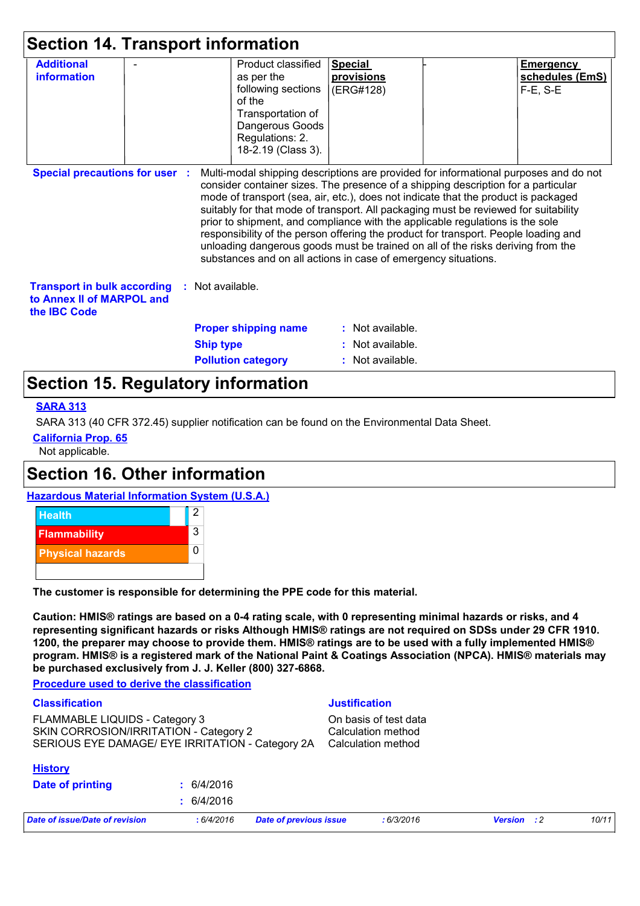| <b>Section 14. Transport information</b>                                                                |                             |                                                                                                                           |                                                  |                                                                                                                                                                                                                                                                                                                                                                                                                                                                                                                                                                                                                                                                                     |                                                      |
|---------------------------------------------------------------------------------------------------------|-----------------------------|---------------------------------------------------------------------------------------------------------------------------|--------------------------------------------------|-------------------------------------------------------------------------------------------------------------------------------------------------------------------------------------------------------------------------------------------------------------------------------------------------------------------------------------------------------------------------------------------------------------------------------------------------------------------------------------------------------------------------------------------------------------------------------------------------------------------------------------------------------------------------------------|------------------------------------------------------|
| <b>Additional</b><br>information                                                                        | as per the<br>of the        | Product classified<br>following sections<br>Transportation of<br>Dangerous Goods<br>Regulations: 2.<br>18-2.19 (Class 3). | <b>Special</b><br><b>provisions</b><br>(ERG#128) |                                                                                                                                                                                                                                                                                                                                                                                                                                                                                                                                                                                                                                                                                     | <b>Emergency</b><br>schedules (EmS)<br>$F-E$ , $S-E$ |
| <b>Special precautions for user :</b>                                                                   |                             |                                                                                                                           |                                                  | Multi-modal shipping descriptions are provided for informational purposes and do not<br>consider container sizes. The presence of a shipping description for a particular<br>mode of transport (sea, air, etc.), does not indicate that the product is packaged<br>suitably for that mode of transport. All packaging must be reviewed for suitability<br>prior to shipment, and compliance with the applicable regulations is the sole<br>responsibility of the person offering the product for transport. People loading and<br>unloading dangerous goods must be trained on all of the risks deriving from the<br>substances and on all actions in case of emergency situations. |                                                      |
| <b>Transport in bulk according : Not available.</b><br>to Annex II of MARPOL and<br>the <b>IBC</b> Code |                             |                                                                                                                           |                                                  |                                                                                                                                                                                                                                                                                                                                                                                                                                                                                                                                                                                                                                                                                     |                                                      |
|                                                                                                         | <b>Proper shipping name</b> |                                                                                                                           | $:$ Not available.                               |                                                                                                                                                                                                                                                                                                                                                                                                                                                                                                                                                                                                                                                                                     |                                                      |
|                                                                                                         | <b>Ship type</b>            |                                                                                                                           | : Not available.                                 |                                                                                                                                                                                                                                                                                                                                                                                                                                                                                                                                                                                                                                                                                     |                                                      |
|                                                                                                         | <b>Pollution category</b>   |                                                                                                                           | : Not available.                                 |                                                                                                                                                                                                                                                                                                                                                                                                                                                                                                                                                                                                                                                                                     |                                                      |

### **Section 15. Regulatory information**

#### **SARA 313**

SARA 313 (40 CFR 372.45) supplier notification can be found on the Environmental Data Sheet.

**California Prop. 65**

Not applicable.

### **Section 16. Other information**





**The customer is responsible for determining the PPE code for this material.**

**Caution: HMIS® ratings are based on a 0-4 rating scale, with 0 representing minimal hazards or risks, and 4 representing significant hazards or risks Although HMIS® ratings are not required on SDSs under 29 CFR 1910. 1200, the preparer may choose to provide them. HMIS® ratings are to be used with a fully implemented HMIS® program. HMIS® is a registered mark of the National Paint & Coatings Association (NPCA). HMIS® materials may be purchased exclusively from J. J. Keller (800) 327-6868.**

#### **Procedure used to derive the classification**

| <b>Classification</b>                                                                                                        |            |                               | <b>Justification</b>                                              |                |            |       |  |
|------------------------------------------------------------------------------------------------------------------------------|------------|-------------------------------|-------------------------------------------------------------------|----------------|------------|-------|--|
| FLAMMABLE LIQUIDS - Category 3<br>SKIN CORROSION/IRRITATION - Category 2<br>SERIOUS EYE DAMAGE/ EYE IRRITATION - Category 2A |            |                               | On basis of test data<br>Calculation method<br>Calculation method |                |            |       |  |
| <b>History</b>                                                                                                               |            |                               |                                                                   |                |            |       |  |
| Date of printing                                                                                                             | : 6/4/2016 |                               |                                                                   |                |            |       |  |
|                                                                                                                              | : 6/4/2016 |                               |                                                                   |                |            |       |  |
| Date of issue/Date of revision                                                                                               | :6/4/2016  | <b>Date of previous issue</b> | :6/3/2016                                                         | <b>Version</b> | $\cdot$ :2 | 10/11 |  |